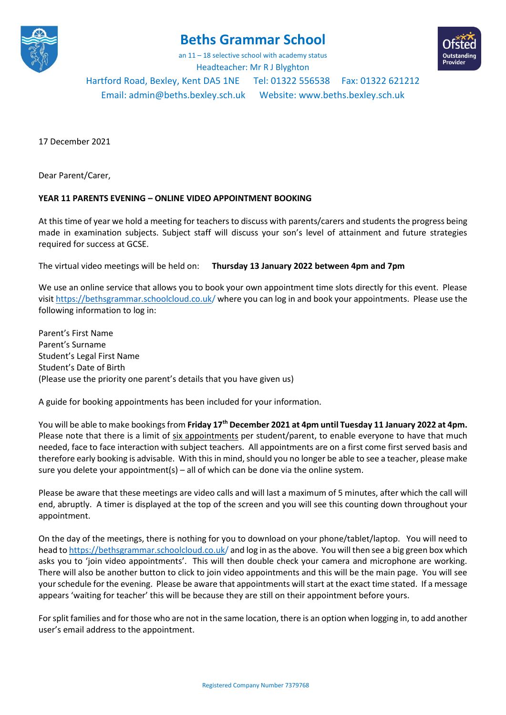

## **Beths Grammar School**

an 11 – 18 selective school with academy status



Headteacher: Mr R J Blyghton

Hartford Road, Bexley, Kent DA5 1NE Tel: 01322 556538 Fax: 01322 621212

Email[: admin@beths.bexley.sch.uk](mailto:admin@beths.bexley.sch.uk) Website: [www.beths.bexley.sch.uk](http://www.beths.bexley.sch.uk/)

17 December 2021

Dear Parent/Carer,

## **YEAR 11 PARENTS EVENING – ONLINE VIDEO APPOINTMENT BOOKING**

At this time of year we hold a meeting for teachers to discuss with parents/carers and students the progress being made in examination subjects. Subject staff will discuss your son's level of attainment and future strategies required for success at GCSE.

The virtual video meetings will be held on: **Thursday 13 January 2022 between 4pm and 7pm**

We use an online service that allows you to book your own appointment time slots directly for this event. Please visit https://bethsgrammar.schoolcloud.co.uk/ where you can log in and book your appointments. Please use the following information to log in:

Parent's First Name Parent's Surname Student's Legal First Name Student's Date of Birth (Please use the priority one parent's details that you have given us)

A guide for booking appointments has been included for your information.

You will be able to make bookings from **Friday 17th December 2021 at 4pm until Tuesday 11 January 2022 at 4pm.** Please note that there is a limit of six appointments per student/parent, to enable everyone to have that much needed, face to face interaction with subject teachers. All appointments are on a first come first served basis and therefore early booking is advisable. With this in mind, should you no longer be able to see a teacher, please make sure you delete your appointment(s) – all of which can be done via the online system.

Please be aware that these meetings are video calls and will last a maximum of 5 minutes, after which the call will end, abruptly. A timer is displayed at the top of the screen and you will see this counting down throughout your appointment.

On the day of the meetings, there is nothing for you to download on your phone/tablet/laptop. You will need to head to https://bethsgrammar.schoolcloud.co.uk/ and log in as the above. You will then see a big green box which asks you to 'join video appointments'. This will then double check your camera and microphone are working. There will also be another button to click to join video appointments and this will be the main page. You will see your schedule for the evening. Please be aware that appointments will start at the exact time stated. If a message appears 'waiting for teacher' this will be because they are still on their appointment before yours.

For split families and for those who are not in the same location, there is an option when logging in, to add another user's email address to the appointment.